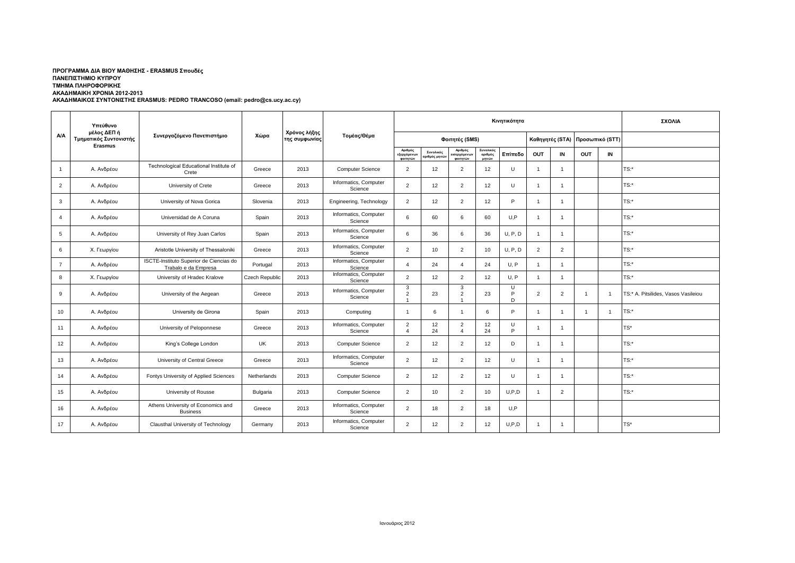## **ΑΚΑΔΗΜΑΙΚΟΣ ΣΥΝΤΟΝΙΣΤΗΣ ERASMUS: PEDRO TRANCOSO (email: pedro@cs.ucy.ac.cy) ΠΡΟΓΡΑΜΜΑ ΔΙΑ ΒΙΟΥ ΜΑΘΗΣΗΣ - ERASMUS Σπουδές ΠΑΝΕΠΙΣΤΗΜΙΟ ΚΥΠΡΟΥ ΤΜΗΜΑ ΠΛΗΡΟΦΟΡΙΚΗΣ ΑΚΑΔΗΜΑΙΚΗ ΧΡΟΝΙΑ 2012-2013**

|                | Υπεύθυνο<br>μέλος ΔΕΠ ή<br>Τμηματικός Συντονιστής<br><b>Erasmus</b> | Συνεργαζόμενο Πανεπιστήμιο                                      |                |                               | Τομέας/Θέμα                      |                                   |                           |                                           |                               | ΣΧΟΛΙΑ      |                |                 |                 |                |                                     |
|----------------|---------------------------------------------------------------------|-----------------------------------------------------------------|----------------|-------------------------------|----------------------------------|-----------------------------------|---------------------------|-------------------------------------------|-------------------------------|-------------|----------------|-----------------|-----------------|----------------|-------------------------------------|
| <b>A/A</b>     |                                                                     |                                                                 | Χώρα           | Χρόνος λήξης<br>της συμφωνίας |                                  | Φοιτητές (SMS)                    |                           |                                           |                               |             |                | Καθηγητές (STA) | Προσωπικό (STT) |                |                                     |
|                |                                                                     |                                                                 |                |                               |                                  | Αριθμός<br>εξερχόμενω<br>φοιτητών | Συνολικός<br>ιριθμός μηνώ | Αριθμός<br>φοιτητών                       | Συνολικός<br>αριθμός<br>μηνών | Επίπεδο     | OUT            | IN              | <b>OUT</b>      | IN             |                                     |
| $\mathbf{1}$   | Α. Ανδρέου                                                          | Technological Educational Institute of<br>Crete                 | Greece         | 2013                          | Computer Science                 | $\overline{2}$                    | 12                        | $\overline{2}$                            | 12                            | U           | -1             | $\mathbf{1}$    |                 |                | $TS:$ *                             |
| $\overline{2}$ | Α. Ανδρέου                                                          | University of Crete                                             | Greece         | 2013                          | Informatics, Computer<br>Science | 2                                 | 12                        | $\overline{2}$                            | 12                            | $\cup$      | $\overline{1}$ | $\overline{1}$  |                 |                | TS:*                                |
| 3              | Α. Ανδρέου                                                          | University of Nova Gorica                                       | Slovenia       | 2013                          | Engineering, Technology          | 2                                 | 12                        | $\overline{2}$                            | 12                            | P           | -1             | $\mathbf{1}$    |                 |                | $TS:$ *                             |
| $\overline{4}$ | Α. Ανδρέου                                                          | Universidad de A Coruna                                         | Spain          | 2013                          | Informatics, Computer<br>Science | 6                                 | 60                        | 6                                         | 60                            | U.P         |                | $\overline{1}$  |                 |                | $TS:$ *                             |
| 5              | Α. Ανδρέου                                                          | University of Rey Juan Carlos                                   | Spain          | 2013                          | Informatics, Computer<br>Science | 6                                 | 36                        | 6                                         | 36                            | U, P, D     |                | $\mathbf{1}$    |                 |                | $TS:$ *                             |
| 6              | Χ. Γεωργίου                                                         | Aristotle University of Thessaloniki                            | Greece         | 2013                          | Informatics, Computer<br>Science | 2                                 | 10                        | $\overline{2}$                            | 10                            | U, P, D     | $\overline{2}$ | $\overline{2}$  |                 |                | TS:*                                |
| $\overline{7}$ | Α. Ανδρέου                                                          | ISCTE-Instituto Superior de Ciencias do<br>Trabalo e da Empresa | Portugal       | 2013                          | Informatics, Computer<br>Science | $\overline{4}$                    | 24                        | $\overline{a}$                            | 24                            | U, P        | $\overline{1}$ | $\overline{1}$  |                 |                | TS:*                                |
| 8              | Χ. Γεωργίου                                                         | University of Hradec Kralove                                    | Czech Republic | 2013                          | Informatics, Computer<br>Science | $\overline{2}$                    | 12                        | $\overline{2}$                            | 12                            | U, P        | $\overline{1}$ | $\overline{1}$  |                 |                | TS:*                                |
| 9              | Α. Ανδρέου                                                          | University of the Aegean                                        | Greece         | 2013                          | Informatics, Computer<br>Science | 3<br>$\overline{2}$               | 23                        | 3<br>$\overline{2}$                       | 23                            | U<br>P<br>D | $\overline{2}$ | $\overline{2}$  | $\overline{1}$  | - 1            | TS:* A. Pitsilides, Vasos Vasileiou |
| 10             | Α. Ανδρέου                                                          | University de Girona                                            | Spain          | 2013                          | Computing                        | $\overline{1}$                    | 6                         | -1                                        | 6                             | P           | -1             | $\mathbf{1}$    | $\overline{1}$  | $\overline{1}$ | TS:*                                |
| 11             | Α. Ανδρέου                                                          | University of Peloponnese                                       | Greece         | 2013                          | Informatics, Computer<br>Science | $\overline{2}$<br>$\overline{4}$  | 12<br>24                  | $\overline{2}$<br>$\overline{\mathbf{A}}$ | 12<br>24                      | U<br>D      |                | $\overline{1}$  |                 |                | TS*                                 |
| 12             | Α. Ανδρέου                                                          | King's College London                                           | UK             | 2013                          | <b>Computer Science</b>          | 2                                 | 12                        | $\overline{2}$                            | 12                            | D           | $\overline{1}$ | $\overline{1}$  |                 |                | $TS:$ *                             |
| 13             | Α. Ανδρέου                                                          | University of Central Greece                                    | Greece         | 2013                          | Informatics, Computer<br>Science | 2                                 | 12                        | $\overline{2}$                            | 12                            | $\cup$      | $\overline{1}$ | $\overline{1}$  |                 |                | TS:*                                |
| 14             | Α. Ανδρέου                                                          | Fontys University of Applied Sciences                           | Netherlands    | 2013                          | <b>Computer Science</b>          | 2                                 | 12                        | $\overline{2}$                            | 12                            | U           | $\overline{1}$ | $\mathbf{1}$    |                 |                | $TS:$ *                             |
| 15             | Α. Ανδρέου                                                          | University of Rousse                                            | Bulgaria       | 2013                          | <b>Computer Science</b>          | 2                                 | 10                        | $\overline{2}$                            | 10                            | U.P.D       | $\overline{1}$ | $\overline{2}$  |                 |                | TS:*                                |
| 16             | Α. Ανδρέου                                                          | Athens University of Economics and<br><b>Business</b>           | Greece         | 2013                          | Informatics, Computer<br>Science | 2                                 | 18                        | $\overline{2}$                            | 18                            | U.P         |                |                 |                 |                |                                     |
| 17             | Α. Ανδρέου                                                          | Clausthal University of Technology                              | Germany        | 2013                          | Informatics, Computer<br>Science | 2                                 | 12                        | $\overline{2}$                            | 12                            | U.P.D       |                | $\overline{1}$  |                 |                | TS*                                 |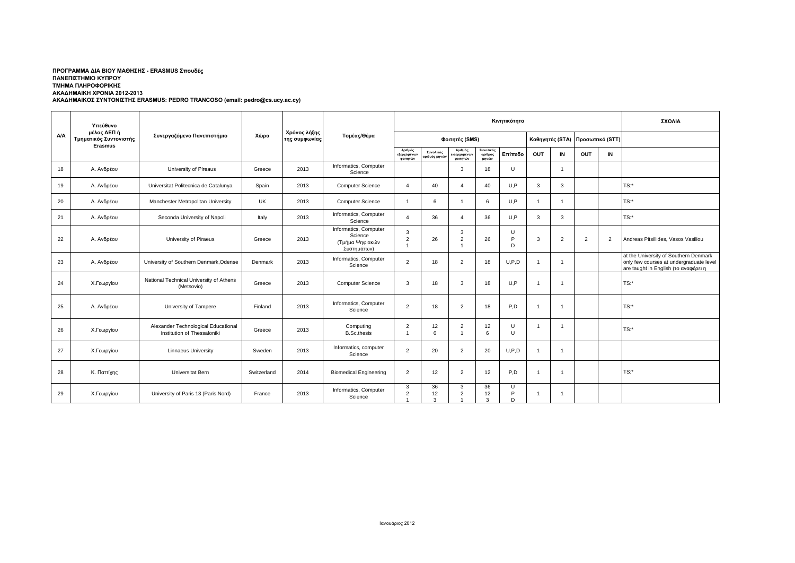## **ΑΚΑΔΗΜΑΙΚΟΣ ΣΥΝΤΟΝΙΣΤΗΣ ERASMUS: PEDRO TRANCOSO (email: pedro@cs.ucy.ac.cy) ΠΡΟΓΡΑΜΜΑ ΔΙΑ ΒΙΟΥ ΜΑΘΗΣΗΣ - ERASMUS Σπουδές ΠΑΝΕΠΙΣΤΗΜΙΟ ΚΥΠΡΟΥ ΤΜΗΜΑ ΠΛΗΡΟΦΟΡΙΚΗΣ ΑΚΑΔΗΜΑΙΚΗ ΧΡΟΝΙΑ 2012-2013**

|            | Υπεύθυνο<br>μέλος ΔΕΠ ή<br>Τμηματικός Συντονιστής<br>Erasmus | Συνεργαζόμενο Πανεπιστήμιο                                         |             | Χρόνος λήξης<br>της συμφωνίας | Τομέας/Θέμα                                                        | Κινητικότητα                            |                           |                                            |                               |                  |                |                                 |                |    | ΣΧΟΛΙΑ                                                                                                                   |
|------------|--------------------------------------------------------------|--------------------------------------------------------------------|-------------|-------------------------------|--------------------------------------------------------------------|-----------------------------------------|---------------------------|--------------------------------------------|-------------------------------|------------------|----------------|---------------------------------|----------------|----|--------------------------------------------------------------------------------------------------------------------------|
| <b>A/A</b> |                                                              |                                                                    | Χώρα        |                               |                                                                    | Φοιτητές (SMS)                          |                           |                                            |                               |                  |                | Καθηγητές (STA) Προσωπικό (STT) |                |    |                                                                                                                          |
|            |                                                              |                                                                    |             |                               |                                                                    | Αριθμός<br>.<br>εξερχόμενων<br>φοιτητών | Συνολικός<br>ιριθμός μηνώ | Αριθμός<br><b>εισερχόμενων</b><br>φοιτητών | Συνολικός<br>αριθμός<br>μηνών | Επίπεδο          | OUT            | IN                              | OUT            | IN |                                                                                                                          |
| 18         | Α. Ανδρέου                                                   | University of Pireaus                                              | Greece      | 2013                          | Informatics, Computer<br>Science                                   |                                         |                           | 3                                          | 18                            | U                |                | $\overline{1}$                  |                |    |                                                                                                                          |
| 19         | Α. Ανδρέου                                                   | Universitat Politecnica de Catalunya                               | Spain       | 2013                          | <b>Computer Science</b>                                            | $\overline{4}$                          | 40                        | 4                                          | 40                            | U.P              | 3              | 3                               |                |    | $TS:$ *                                                                                                                  |
| 20         | Α. Ανδρέου                                                   | Manchester Metropolitan University                                 | UK          | 2013                          | <b>Computer Science</b>                                            | $\mathbf{1}$                            | 6                         |                                            | 6                             | U.P              | -1             | $\overline{1}$                  |                |    | $TS:$ *                                                                                                                  |
| 21         | Α. Ανδρέου                                                   | Seconda University of Napoli                                       | Italy       | 2013                          | Informatics, Computer<br>Science                                   | $\Delta$                                | 36                        | Δ                                          | 36                            | U.P              | 3              | 3                               |                |    | $TS:$ *                                                                                                                  |
| 22         | Α. Ανδρέου                                                   | University of Piraeus                                              | Greece      | 2013                          | Informatics, Computer<br>Science<br>(Τμήμα Ψηφιακών<br>Συστημάτων) | 3<br>$\overline{2}$                     | 26                        | 3<br>$\overline{2}$                        | 26                            | U<br>P<br>D      | 3              | 2                               | $\overline{2}$ | 2  | Andreas Pitsillides, Vasos Vasiliou                                                                                      |
| 23         | Α. Ανδρέου                                                   | University of Southern Denmark, Odense                             | Denmark     | 2013                          | Informatics, Computer<br>Science                                   | $\overline{2}$                          | 18                        | 2                                          | 18                            | U.P.D            | -1             | $\overline{1}$                  |                |    | at the University of Southern Denmark<br>only few courses at undergraduate level<br>are taught in English (το αναφέρει η |
| 24         | Χ.Γεωργίου                                                   | National Technical University of Athens<br>(Metsovio)              | Greece      | 2013                          | <b>Computer Science</b>                                            | 3                                       | 18                        | 3                                          | 18                            | U.P              | -1             | $\overline{1}$                  |                |    | $TS:$ *                                                                                                                  |
| 25         | Α. Ανδρέου                                                   | University of Tampere                                              | Finland     | 2013                          | Informatics, Computer<br>Science                                   | $\overline{2}$                          | 18                        | $\overline{2}$                             | 18                            | P,D              |                | -1                              |                |    | $TS:$ *                                                                                                                  |
| 26         | Χ.Γεωργίου                                                   | Alexander Technological Educational<br>Institution of Thessaloniki | Greece      | 2013                          | Computing<br><b>B.Sc.thesis</b>                                    | $\overline{2}$<br>$\overline{1}$        | 12<br>6                   | $\overline{2}$                             | 12<br>6                       | U<br>U           | -1             | -1                              |                |    | $TS:$ *                                                                                                                  |
| 27         | Χ.Γεωργίου                                                   | <b>Linnaeus University</b>                                         | Sweden      | 2013                          | Informatics, computer<br>Science                                   | 2                                       | 20                        | 2                                          | 20                            | U, P, D          | $\overline{1}$ | $\overline{1}$                  |                |    |                                                                                                                          |
| 28         | Κ. Παττίχης                                                  | Universitat Bern                                                   | Switzerland | 2014                          | <b>Biomedical Engineering</b>                                      | 2                                       | 12                        | 2                                          | 12                            | P <sub>.</sub> D | -1             | $\overline{1}$                  |                |    | $TS:$ *                                                                                                                  |
| 29         | Χ.Γεωργίου                                                   | University of Paris 13 (Paris Nord)                                | France      | 2013                          | Informatics, Computer<br>Science                                   | 3<br>$\overline{2}$                     | 36<br>12                  | 3<br>$\overline{c}$                        | 36<br>12<br>3                 | U<br>P<br>D      | - 1            | -1                              |                |    |                                                                                                                          |